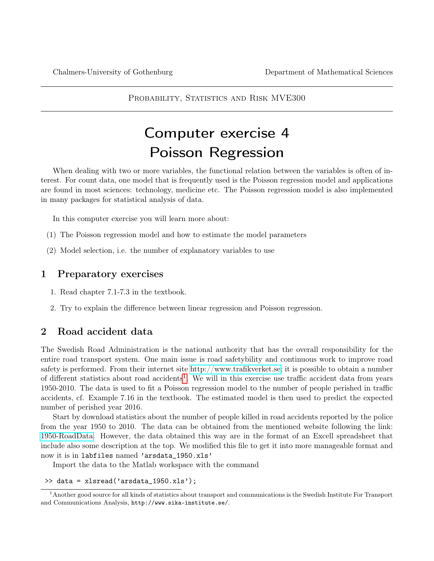PROBABILITY, STATISTICS AND RISK MVE300

# Computer exercise 4 Poisson Regression

When dealing with two or more variables, the functional relation between the variables is often of interest. For count data, one model that is frequently used is the Poisson regression model and applications are found in most sciences: technology, medicine etc. The Poisson regression model is also implemented in many packages for statistical analysis of data.

In this computer exercise you will learn more about:

- (1) The Poisson regression model and how to estimate the model parameters
- (2) Model selection, i.e. the number of explanatory variables to use

# 1 Preparatory exercises

- 1. Read chapter 7.1-7.3 in the textbook.
- 2. Try to explain the difference between linear regression and Poisson regression.

### 2 Road accident data

The Swedish Road Administration is the national authority that has the overall responsibility for the entire road transport system. One main issue is road safetybility and continuous work to improve road safety is performed. From their internet site [http://www.trafikverket.se;](http://www.trafikverket.se) it is possible to obtain a number of different statistics about road accidents<sup>[1](#page-0-0)</sup>. We will in this exercise use traffic accident data from years 1950-2010. The data is used to fit a Poisson regression model to the number of people perished in traffic accidents, cf. Example 7.16 in the textbook. The estimated model is then used to predict the expected number of perished year 2016.

Start by download statistics about the number of people killed in road accidents reported by the police from the year 1950 to 2010. The data can be obtained from the mentioned website following the link: [1950-RoadData.](http://www.trafikverket.se/Privat/Trafiksakerhet/Olycksstatistik/Vag/Nationell-statistik/Arsdata-fran-1950/) However, the data obtained this way are in the format of an Excell spreadsheet that include also some description at the top. We modified this file to get it into more manageable format and now it is in labfiles named 'arsdata\_1950.xls'

Import the data to the Matlab workspace with the command

>> data = xlsread('arsdata\_1950.xls');

<span id="page-0-0"></span><sup>1</sup>Another good source for all kinds of statistics about transport and communications is the Swedish Institute For Transport and Communications Analysis, http://www.sika-institute.se/.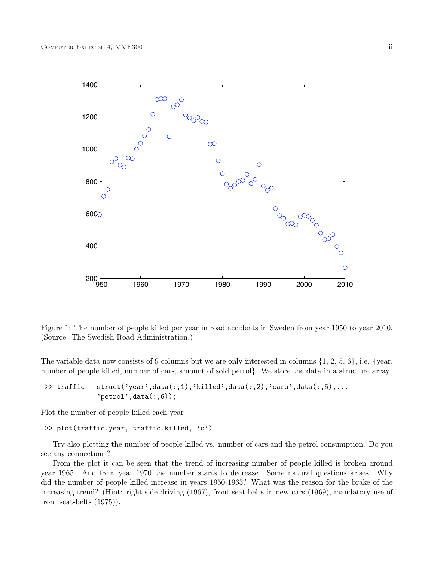

Figure 1: The number of people killed per year in road accidents in Sweden from year 1950 to year 2010. (Source: The Swedish Road Administration.)

The variable data now consists of 9 columns but we are only interested in columns  $\{1, 2, 5, 6\}$ , i.e.  $\{year,$ number of people killed, number of cars, amount of sold petrol}. We store the data in a structure array

```
\rightarrow traffic = struct('year',data(:,1),'killed',data(:,2),'cars',data(:,5),...
              'petrol',data(:,6));
```
Plot the number of people killed each year

```
>> plot(traffic.year, traffic.killed, 'o')
```
Try also plotting the number of people killed vs. number of cars and the petrol consumption. Do you see any connections?

From the plot it can be seen that the trend of increasing number of people killed is broken around year 1965. And from year 1970 the number starts to decrease. Some natural questions arises. Why did the number of people killed increase in years 1950-1965? What was the reason for the brake of the increasing trend? (Hint: right-side driving (1967), front seat-belts in new cars (1969), mandatory use of front seat-belts (1975)).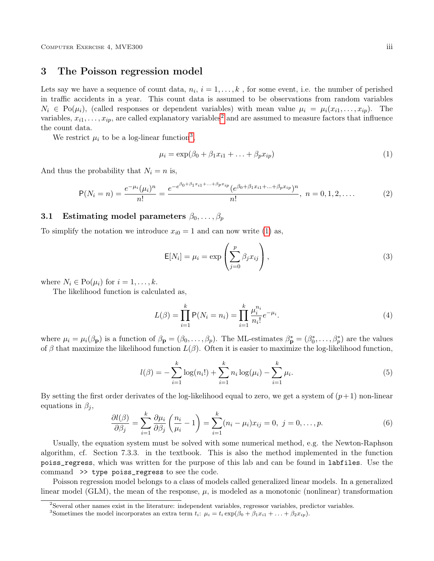#### 3 The Poisson regression model

Lets say we have a sequence of count data,  $n_i$ ,  $i = 1, ..., k$ , for some event, i.e. the number of perished in traffic accidents in a year. This count data is assumed to be observations from random variables  $N_i \in Po(\mu_i)$ , (called responses or dependent variables) with mean value  $\mu_i = \mu_i(x_{i1}, \ldots, x_{ip})$ . The variables,  $x_{i1}, \ldots, x_{ip}$ , are called explanatory variables<sup>[2](#page-2-0)</sup> and are assumed to measure factors that influence the count data.

We restrict  $\mu_i$  to be a log-linear function<sup>[3](#page-2-1)</sup>,

<span id="page-2-2"></span>
$$
\mu_i = \exp(\beta_0 + \beta_1 x_{i1} + \dots + \beta_p x_{ip})
$$
\n<sup>(1)</sup>

And thus the probability that  $N_i = n$  is,

$$
P(N_i = n) = \frac{e^{-\mu_i}(\mu_i)^n}{n!} = \frac{e^{-e^{\beta_0 + \beta_1 x_{i1} + \dots + \beta_p x_{ip}}} (e^{\beta_0 + \beta_1 x_{i1} + \dots + \beta_p x_{ip}})^n}{n!}, \ n = 0, 1, 2, \dots
$$
 (2)

#### 3.1 Estimating model parameters  $\beta_0, \ldots, \beta_p$

To simplify the notation we introduce  $x_{i0} = 1$  and can now write [\(1\)](#page-2-2) as,

$$
\mathsf{E}[N_i] = \mu_i = \exp\left(\sum_{j=0}^p \beta_j x_{ij}\right),\tag{3}
$$

where  $N_i \in Po(\mu_i)$  for  $i = 1, \ldots, k$ .

The likelihood function is calculated as,

$$
L(\beta) = \prod_{i=1}^{k} P(N_i = n_i) = \prod_{i=1}^{k} \frac{\mu_i^{n_i}}{n_i!} e^{-\mu_i}.
$$
\n(4)

where  $\mu_i = \mu_i(\beta_{\mathbf{p}})$  is a function of  $\beta_{\mathbf{p}} = (\beta_0, \dots, \beta_p)$ . The ML-estimates  $\beta_{\mathbf{p}}^* = (\beta_0^*, \dots, \beta_p^*)$  are the values of β that maximize the likelihood function  $L(\beta)$ . Often it is easier to maximize the log-likelihood function,

$$
l(\beta) = -\sum_{i=1}^{k} \log(n_i!) + \sum_{i=1}^{k} n_i \log(\mu_i) - \sum_{i=1}^{k} \mu_i.
$$
 (5)

By setting the first order derivates of the log-likelihood equal to zero, we get a system of  $(p+1)$  non-linear equations in  $\beta_i$ ,

<span id="page-2-3"></span>
$$
\frac{\partial l(\beta)}{\partial \beta_j} = \sum_{i=1}^k \frac{\partial \mu_i}{\partial \beta_j} \left( \frac{n_i}{\mu_i} - 1 \right) = \sum_{i=1}^k (n_i - \mu_i) x_{ij} = 0, \ j = 0, \dots, p. \tag{6}
$$

Usually, the equation system must be solved with some numerical method, e.g. the Newton-Raphson algorithm, cf. Section 7.3.3. in the textbook. This is also the method implemented in the function poiss\_regress, which was written for the purpose of this lab and can be found in labfiles. Use the command >> type poiss\_regress to see the code.

Poisson regression model belongs to a class of models called generalized linear models. In a generalized linear model (GLM), the mean of the response,  $\mu$ , is modeled as a monotonic (nonlinear) transformation

<span id="page-2-0"></span> $2$ Several other names exist in the literature: independent variables, regressor variables, predictor variables.

<span id="page-2-1"></span><sup>&</sup>lt;sup>3</sup>Sometimes the model incorporates an extra term  $t_i$ :  $\mu_i = t_i \exp(\beta_0 + \beta_1 x_{i1} + ... + \beta_2 x_{ip}).$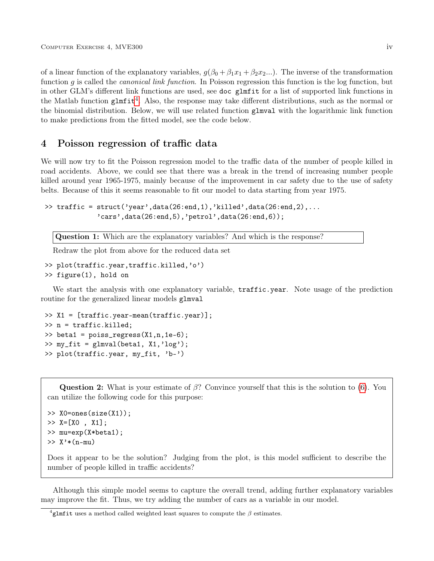of a linear function of the explanatory variables,  $g(\beta_0 + \beta_1 x_1 + \beta_2 x_2)$ ...). The inverse of the transformation function g is called the *canonical link function*. In Poisson regression this function is the log function, but in other GLM's different link functions are used, see doc glmfit for a list of supported link functions in the Matlab function  $g1mfit<sup>4</sup>$  $g1mfit<sup>4</sup>$  $g1mfit<sup>4</sup>$ . Also, the response may take different distributions, such as the normal or the binomial distribution. Below, we will use related function glmval with the logarithmic link function to make predictions from the fitted model, see the code below.

#### 4 Poisson regression of traffic data

We will now try to fit the Poisson regression model to the traffic data of the number of people killed in road accidents. Above, we could see that there was a break in the trend of increasing number people killed around year 1965-1975, mainly because of the improvement in car safety due to the use of safety belts. Because of this it seems reasonable to fit our model to data starting from year 1975.

```
\gg traffic = struct('year',data(26:end,1),'killed',data(26:end,2),...
             'cars',data(26:end,5),'petrol',data(26:end,6));
```
Question 1: Which are the explanatory variables? And which is the response?

Redraw the plot from above for the reduced data set

```
>> plot(traffic.year,traffic.killed,'o')
>> figure(1), hold on
```
We start the analysis with one explanatory variable, **traffic.year.** Note usage of the prediction routine for the generalized linear models glmval

```
>> X1 = [traffic.year-mean(traffic.year)];
>> n = traffic.killed;
\gg beta1 = poiss_regress(X1,n,1e-6);
>> my_fit = glmval(beta1, X1,'log');
>> plot(traffic.year, my_fit, 'b-')
```
**Question 2:** What is your estimate of  $\beta$ ? Convince yourself that this is the solution to [\(6\)](#page-2-3). You can utilize the following code for this purpose:

```
>> X0=ones(size(X1));
>> X=[X0 , X1];>> mu=exp(X*beta1);
\gg X'*(n-mu)
```
Does it appear to be the solution? Judging from the plot, is this model sufficient to describe the number of people killed in traffic accidents?

Although this simple model seems to capture the overall trend, adding further explanatory variables may improve the fit. Thus, we try adding the number of cars as a variable in our model.

<span id="page-3-0"></span> ${}^{4}$ glmfit uses a method called weighted least squares to compute the  $\beta$  estimates.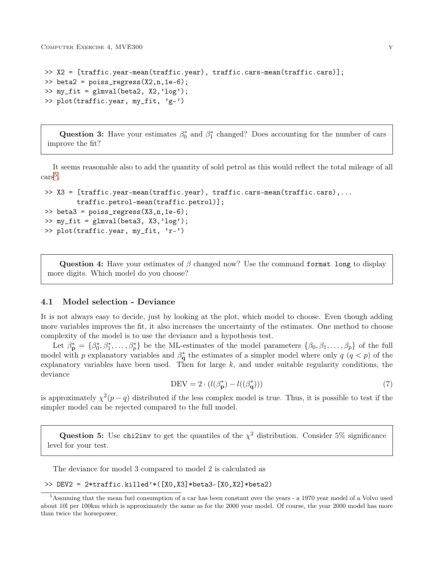COMPUTER EXERCISE 4, MVE300 v

```
>> X2 = [traffic.year-mean(traffic.year), traffic.cars-mean(traffic.cars)];
\gg beta2 = poiss_regress(X2,n,1e-6);
\gg my_fit = glmval(beta2, X2,'log');
>> plot(traffic.year, my_fit, 'g-')
```
Question 3: Have your estimates  $\beta_0^*$  and  $\beta_1^*$  changed? Does accounting for the number of cars improve the fit?

It seems reasonable also to add the quantity of sold petrol as this would reflect the total mileage of all  $\text{cars}^5$  $\text{cars}^5$ .

```
>> X3 = [traffic.year-mean(traffic.year), traffic.cars-mean(traffic.cars),...
        traffic.petrol-mean(traffic.petrol)];
\ge beta3 = poiss_regress(X3, n, 1e-6);
>> my_fit = glmval(beta3, X3,'log');
>> plot(traffic.year, my_fit, 'r-')
```
Question 4: Have your estimates of  $\beta$  changed now? Use the command format long to display more digits. Which model do you choose?

#### 4.1 Model selection - Deviance

It is not always easy to decide, just by looking at the plot, which model to choose. Even though adding more variables improves the fit, it also increases the uncertainty of the estimates. One method to choose complexity of the model is to use the deviance and a hypothesis test.

Let  $\beta_{\mathbf{p}}^* = {\beta_0^*, \beta_1^*, \ldots, \beta_p^*}$  be the ML-estimates of the model parameters  ${\beta_0, \beta_1, \ldots, \beta_p}$  of the full model with p explanatory variables and  $\beta_{\bf q}^*$  the estimates of a simpler model where only  $q$   $(q < p)$  of the explanatory variables have been used. Then for large  $k$ , and under suitable regularity conditions, the deviance

$$
DEV = 2 \cdot (l(\beta_p^*) - l((\beta_q^*))) \tag{7}
$$

is approximately  $\chi^2(p-q)$  distributed if the less complex model is true. Thus, it is possible to test if the simpler model can be rejected compared to the full model.

Question 5: Use chi2inv to get the quantiles of the  $\chi^2$  distribution. Consider 5% significance level for your test.

The deviance for model 3 compared to model 2 is calculated as

>> DEV2 = 2\*traffic.killed'\*([X0,X3]\*beta3-[X0,X2]\*beta2)

<span id="page-4-0"></span> $5$ Assuming that the mean fuel consumption of a car has been constant over the years - a 1970 year model of a Volvo used about 10l per 100km which is approximately the same as for the 2000 year model. Of course, the year 2000 model has more than twice the horsepower.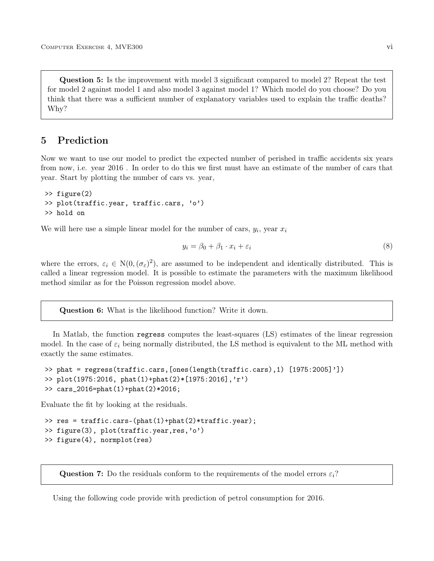Question 5: Is the improvement with model 3 significant compared to model 2? Repeat the test for model 2 against model 1 and also model 3 against model 1? Which model do you choose? Do you think that there was a sufficient number of explanatory variables used to explain the traffic deaths? Why?

## 5 Prediction

Now we want to use our model to predict the expected number of perished in traffic accidents six years from now, i.e. year 2016 . In order to do this we first must have an estimate of the number of cars that year. Start by plotting the number of cars vs. year,

```
>> figure(2)
>> plot(traffic.year, traffic.cars, 'o')
>> hold on
```
We will here use a simple linear model for the number of cars,  $y_i$ , year  $x_i$ 

$$
y_i = \beta_0 + \beta_1 \cdot x_i + \varepsilon_i \tag{8}
$$

where the errors,  $\varepsilon_i \in N(0, (\sigma_{\varepsilon})^2)$ , are assumed to be independent and identically distributed. This is called a linear regression model. It is possible to estimate the parameters with the maximum likelihood method similar as for the Poisson regression model above.

Question 6: What is the likelihood function? Write it down.

In Matlab, the function regress computes the least-squares (LS) estimates of the linear regression model. In the case of  $\varepsilon_i$  being normally distributed, the LS method is equivalent to the ML method with exactly the same estimates.

```
>> phat = regress(traffic.cars,[ones(length(traffic.cars),1) [1975:2005]'])
>> plot(1975:2016, phat(1)+phat(2)*[1975:2016],'r')
>> cars_2016=phat(1)+phat(2)*2016;
```
Evaluate the fit by looking at the residuals.

```
>> res = traffic.cars-(phat(1)+phat(2)*traffic.year);
>> figure(3), plot(traffic.year,res,'o')
>> figure(4), normplot(res)
```
**Question 7:** Do the residuals conform to the requirements of the model errors  $\varepsilon_i$ ?

Using the following code provide with prediction of petrol consumption for 2016.